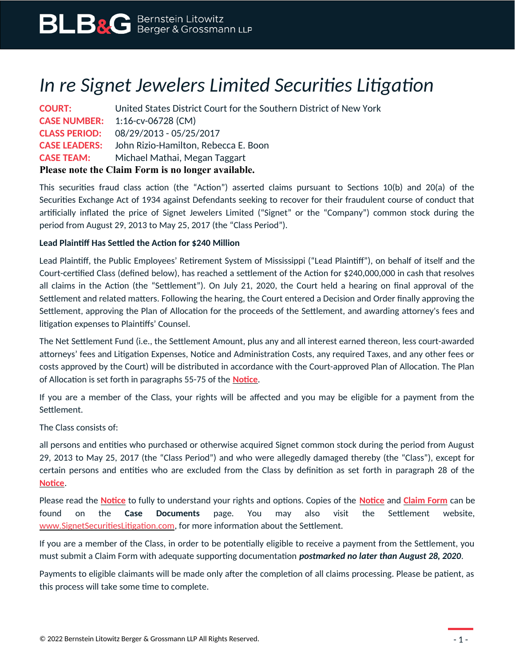# *In re Signet Jewelers Limited Securities Litigation*

| <b>COURT:</b>                                      | United States District Court for the Southern District of New York |
|----------------------------------------------------|--------------------------------------------------------------------|
|                                                    | <b>CASE NUMBER:</b> 1:16-cv-06728 (CM)                             |
|                                                    | <b>CLASS PERIOD:</b> 08/29/2013 - 05/25/2017                       |
|                                                    | <b>CASE LEADERS:</b> John Rizio-Hamilton, Rebecca E. Boon          |
| <b>CASE TEAM:</b>                                  | Michael Mathai, Megan Taggart                                      |
| Please note the Claim Form is no longer available. |                                                                    |

This securities fraud class action (the "Action") asserted claims pursuant to Sections 10(b) and 20(a) of the Securities Exchange Act of 1934 against Defendants seeking to recover for their fraudulent course of conduct that artificially inflated the price of Signet Jewelers Limited ("Signet" or the "Company") common stock during the period from August 29, 2013 to May 25, 2017 (the "Class Period").

### **Lead Plaintiff Has Settled the Action for \$240 Million**

Lead Plaintiff, the Public Employees' Retirement System of Mississippi ("Lead Plaintiff"), on behalf of itself and the Court-certified Class (defined below), has reached a settlement of the Action for \$240,000,000 in cash that resolves all claims in the Action (the "Settlement"). On July 21, 2020, the Court held a hearing on final approval of the Settlement and related matters. Following the hearing, the Court entered a Decision and Order finally approving the Settlement, approving the Plan of Allocation for the proceeds of the Settlement, and awarding attorney's fees and litigation expenses to Plaintiffs' Counsel.

The Net Settlement Fund (i.e., the Settlement Amount, plus any and all interest earned thereon, less court-awarded attorneys' fees and Litigation Expenses, Notice and Administration Costs, any required Taxes, and any other fees or costs approved by the Court) will be distributed in accordance with the Court-approved Plan of Allocation. The Plan of Allocation is set forth in paragraphs 55-75 of the **[Notice](https://www.blbglaw.com/cases/signet-jewelers-limited/_res/id=Attachments/index=0/Signet%20-%20Notice%20of%20(I)%20Pendency%20of%20Class%20Action%20and%20Proposed%20Settlement;%20(II)%20Settlement%20Fairness%20Hearing;%20and%20(III)%20Motion%20for%20an%20Award%20o~1.pdf)**.

If you are a member of the Class, your rights will be affected and you may be eligible for a payment from the Settlement.

The Class consists of:

all persons and entities who purchased or otherwise acquired Signet common stock during the period from August 29, 2013 to May 25, 2017 (the "Class Period") and who were allegedly damaged thereby (the "Class"), except for certain persons and entities who are excluded from the Class by definition as set forth in paragraph 28 of the **[Notice](https://www.blbglaw.com/cases/signet-jewelers-limited/_res/id=Attachments/index=0/Signet%20-%20Notice%20of%20(I)%20Pendency%20of%20Class%20Action%20and%20Proposed%20Settlement;%20(II)%20Settlement%20Fairness%20Hearing;%20and%20(III)%20Motion%20for%20an%20Award%20o~1.pdf)**.

Please read the **[Notice](https://www.blbglaw.com/cases/signet-jewelers-limited/_res/id=Attachments/index=0/Signet%20-%20Notice%20of%20(I)%20Pendency%20of%20Class%20Action%20and%20Proposed%20Settlement;%20(II)%20Settlement%20Fairness%20Hearing;%20and%20(III)%20Motion%20for%20an%20Award%20o~1.pdf)** to fully to understand your rights and options. Copies of the **[Notice](https://www.blbglaw.com/cases/signet-jewelers-limited/_res/id=Attachments/index=0/Signet%20-%20Notice%20of%20(I)%20Pendency%20of%20Class%20Action%20and%20Proposed%20Settlement;%20(II)%20Settlement%20Fairness%20Hearing;%20and%20(III)%20Motion%20for%20an%20Award%20o~1.pdf)** and **[Claim Form](https://www.blbglaw.com/cases/signet-jewelers-limited/_res/id=Attachments/index=1/Signet%20-%20Proof%20of%20Claim%20and%20Release%20Form.pdf)** can be found on the **Case Documents** page. You may also visit the Settlement website, [www.SignetSecuritiesLitigation.com,](http://www.SignetSecuritiesLitigation.com/) for more information about the Settlement.

If you are a member of the Class, in order to be potentially eligible to receive a payment from the Settlement, you must submit a Claim Form with adequate supporting documentation *postmarked no later than August 28, 2020*.

Payments to eligible claimants will be made only after the completion of all claims processing. Please be patient, as this process will take some time to complete.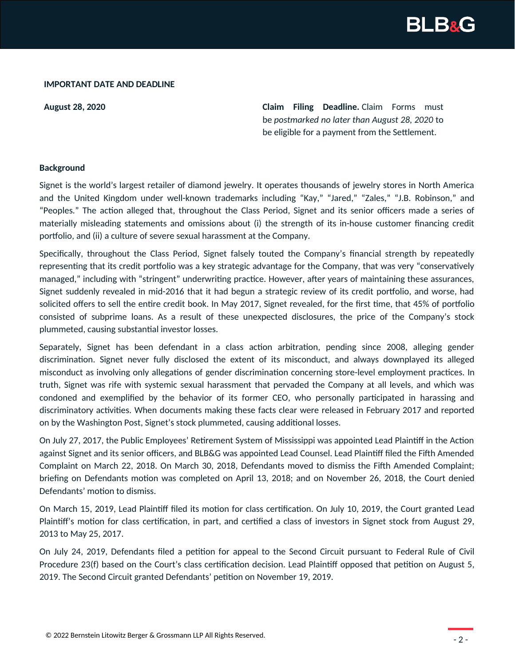

#### **IMPORTANT DATE AND DEADLINE**

**August 28, 2020 Claim Filing Deadline.** Claim Forms must be *postmarked no later than August 28, 2020* to be eligible for a payment from the Settlement.

#### **Background**

Signet is the world's largest retailer of diamond jewelry. It operates thousands of jewelry stores in North America and the United Kingdom under well-known trademarks including "Kay," "Jared," "Zales," "J.B. Robinson," and "Peoples." The action alleged that, throughout the Class Period, Signet and its senior officers made a series of materially misleading statements and omissions about (i) the strength of its in-house customer financing credit portfolio, and (ii) a culture of severe sexual harassment at the Company.

Specifically, throughout the Class Period, Signet falsely touted the Company's financial strength by repeatedly representing that its credit portfolio was a key strategic advantage for the Company, that was very "conservatively managed," including with "stringent" underwriting practice. However, after years of maintaining these assurances, Signet suddenly revealed in mid-2016 that it had begun a strategic review of its credit portfolio, and worse, had solicited offers to sell the entire credit book. In May 2017, Signet revealed, for the first time, that 45% of portfolio consisted of subprime loans. As a result of these unexpected disclosures, the price of the Company's stock plummeted, causing substantial investor losses.

Separately, Signet has been defendant in a class action arbitration, pending since 2008, alleging gender discrimination. Signet never fully disclosed the extent of its misconduct, and always downplayed its alleged misconduct as involving only allegations of gender discrimination concerning store-level employment practices. In truth, Signet was rife with systemic sexual harassment that pervaded the Company at all levels, and which was condoned and exemplified by the behavior of its former CEO, who personally participated in harassing and discriminatory activities. When documents making these facts clear were released in February 2017 and reported on by the Washington Post, Signet's stock plummeted, causing additional losses.

On July 27, 2017, the Public Employees' Retirement System of Mississippi was appointed Lead Plaintiff in the Action against Signet and its senior officers, and BLB&G was appointed Lead Counsel. Lead Plaintiff filed the Fifth Amended Complaint on March 22, 2018. On March 30, 2018, Defendants moved to dismiss the Fifth Amended Complaint; briefing on Defendants motion was completed on April 13, 2018; and on November 26, 2018, the Court denied Defendants' motion to dismiss.

On March 15, 2019, Lead Plaintiff filed its motion for class certification. On July 10, 2019, the Court granted Lead Plaintiff's motion for class certification, in part, and certified a class of investors in Signet stock from August 29, 2013 to May 25, 2017.

On July 24, 2019, Defendants filed a petition for appeal to the Second Circuit pursuant to Federal Rule of Civil Procedure 23(f) based on the Court's class certification decision. Lead Plaintiff opposed that petition on August 5, 2019. The Second Circuit granted Defendants' petition on November 19, 2019.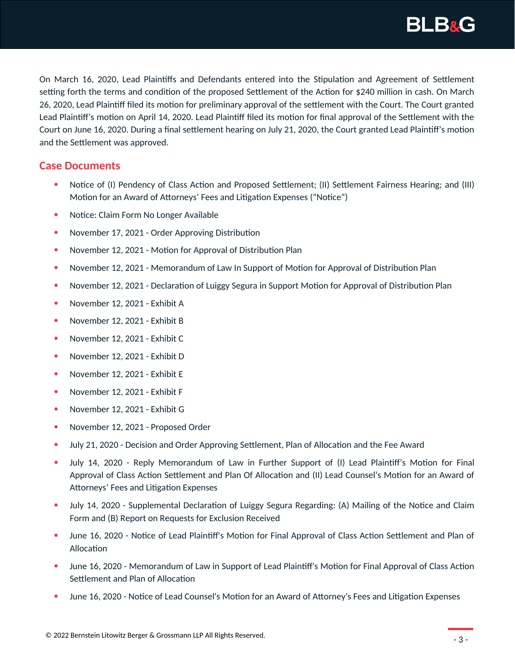

On March 16, 2020, Lead Plaintiffs and Defendants entered into the Stipulation and Agreement of Settlement setting forth the terms and condition of the proposed Settlement of the Action for \$240 million in cash. On March 26, 2020, Lead Plaintiff filed its motion for preliminary approval of the settlement with the Court. The Court granted Lead Plaintiff's motion on April 14, 2020. Lead Plaintiff filed its motion for final approval of the Settlement with the Court on June 16, 2020. During a final settlement hearing on July 21, 2020, the Court granted Lead Plaintiff's motion and the Settlement was approved.

## **Case Documents**

- Notice of (I) Pendency of Class Action and Proposed Settlement; (II) Settlement Fairness Hearing; and (III) Motion for an Award of Attorneys' Fees and Litigation Expenses ("Notice")
- Notice: Claim Form No Longer Available
- November 17, 2021 Order Approving Distribution
- November 12, 2021 Motion for Approval of Distribution Plan
- November 12, 2021 Memorandum of Law In Support of Motion for Approval of Distribution Plan
- November 12, 2021 Declaration of Luiggy Segura in Support Motion for Approval of Distribution Plan
- November 12, 2021 Exhibit A
- November 12, 2021 Exhibit B
- November 12, 2021 Exhibit C
- November 12, 2021 Exhibit D
- November 12, 2021 Exhibit E
- November 12, 2021 Exhibit F
- November 12, 2021 Exhibit G
- November 12, 2021 Proposed Order
- July 21, 2020 Decision and Order Approving Settlement, Plan of Allocation and the Fee Award
- July 14, 2020 Reply Memorandum of Law in Further Support of (I) Lead Plaintiff's Motion for Final Approval of Class Action Settlement and Plan Of Allocation and (II) Lead Counsel's Motion for an Award of Attorneys' Fees and Litigation Expenses
- July 14, 2020 Supplemental Declaration of Luiggy Segura Regarding: (A) Mailing of the Notice and Claim Form and (B) Report on Requests for Exclusion Received
- June 16, 2020 Notice of Lead Plaintiff's Motion for Final Approval of Class Action Settlement and Plan of Allocation
- June 16, 2020 Memorandum of Law in Support of Lead Plaintiff's Motion for Final Approval of Class Action Settlement and Plan of Allocation
- June 16, 2020 Notice of Lead Counsel's Motion for an Award of Attorney's Fees and Litigation Expenses